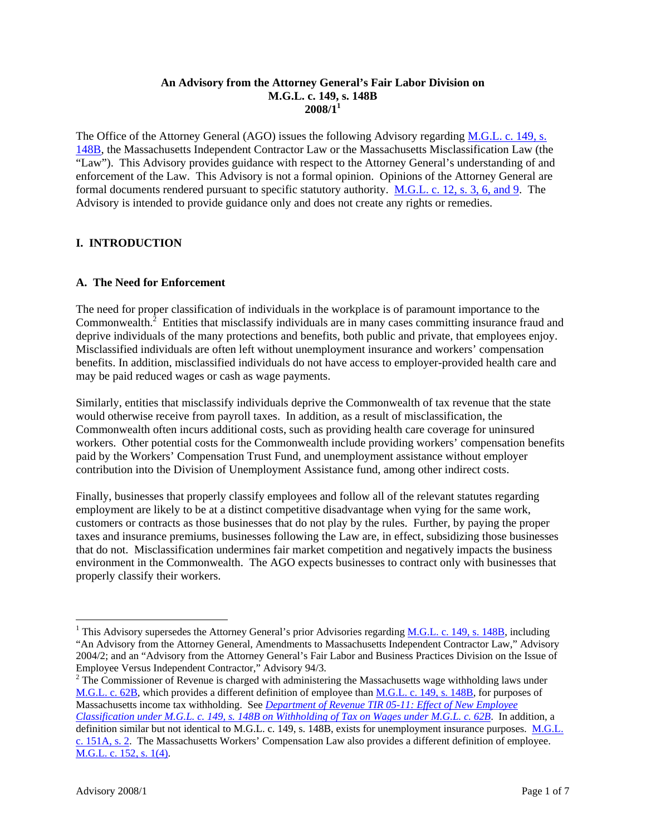#### **An Advisory from the Attorney General's Fair Labor Division on M.G.L. c. 149, s. 148B 2008/11**

The Office of the Attorney General (AGO) issues the following Advisory regarding M.G.L. c. 149, s. 148B, the Massachusetts Independent Contractor Law or the Massachusetts Misclassification Law (the "Law"). This Advisory provides guidance with respect to the Attorney General's understanding of and enforcement of the Law. This Advisory is not a formal opinion. Opinions of the Attorney General are formal documents rendered pursuant to specific statutory authority. M.G.L. c. 12, s. 3, 6, and 9. The Advisory is intended to provide guidance only and does not create any rights or remedies.

## **I. INTRODUCTION**

### **A. The Need for Enforcement**

The need for proper classification of individuals in the workplace is of paramount importance to the Commonwealth. $^2$  Entities that misclassify individuals are in many cases committing insurance fraud and deprive individuals of the many protections and benefits, both public and private, that employees enjoy. Misclassified individuals are often left without unemployment insurance and workers' compensation benefits. In addition, misclassified individuals do not have access to employer-provided health care and may be paid reduced wages or cash as wage payments.

Similarly, entities that misclassify individuals deprive the Commonwealth of tax revenue that the state would otherwise receive from payroll taxes. In addition, as a result of misclassification, the Commonwealth often incurs additional costs, such as providing health care coverage for uninsured workers. Other potential costs for the Commonwealth include providing workers' compensation benefits paid by the Workers' Compensation Trust Fund, and unemployment assistance without employer contribution into the Division of Unemployment Assistance fund, among other indirect costs.

Finally, businesses that properly classify employees and follow all of the relevant statutes regarding employment are likely to be at a distinct competitive disadvantage when vying for the same work, customers or contracts as those businesses that do not play by the rules. Further, by paying the proper taxes and insurance premiums, businesses following the Law are, in effect, subsidizing those businesses that do not. Misclassification undermines fair market competition and negatively impacts the business environment in the Commonwealth. The AGO expects businesses to contract only with businesses that properly classify their workers.

 $\overline{a}$ 

<sup>&</sup>lt;sup>1</sup> This Advisory supersedes the Attorney General's prior Advisories regarding M.G.L. c. 149, s. 148B, including "An Advisory from the Attorney General, Amendments to Massachusetts Independent Contractor Law," Advisory 2004/2; and an "Advisory from the Attorney General's Fair Labor and Business Practices Division on the Issue of Employee Versus Independent Contractor," Advisory 94/3.

 $2^2$  The Commissioner of Revenue is charged with administering the Massachusetts wage withholding laws under M.G.L. c. 62B, which provides a different definition of employee than M.G.L. c. 149, s. 148B, for purposes of Massachusetts income tax withholding. See *Department of Revenue TIR 05-11: Effect of New Employee Classification under M.G.L. c. 149, s. 148B on Withholding of Tax on Wages under M.G.L. c. 62B*. In addition, a definition similar but not identical to M.G.L. c. 149, s. 148B, exists for unemployment insurance purposes. M.G.L. c. 151A, s. 2. The Massachusetts Workers' Compensation Law also provides a different definition of employee. M.G.L. c. 152, s. 1(4).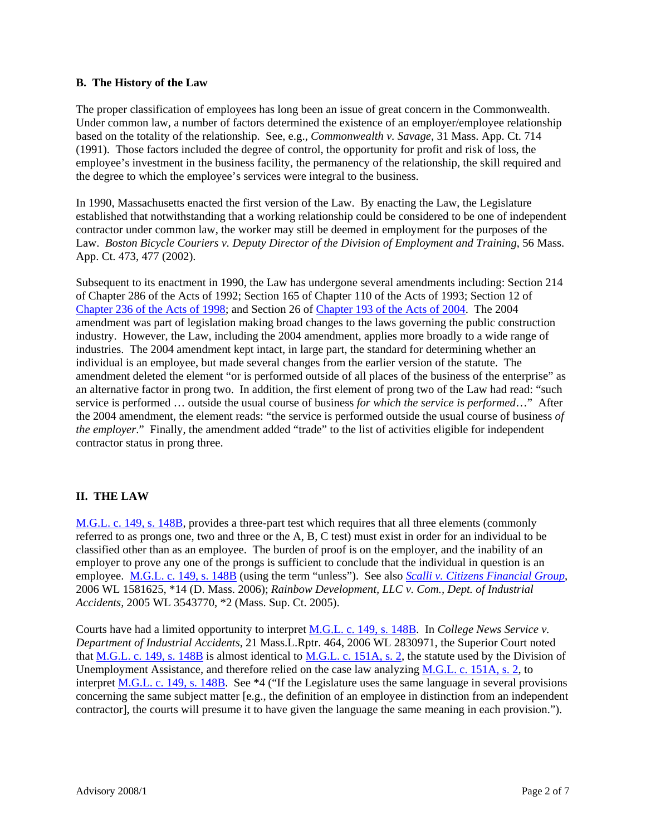#### **B. The History of the Law**

The proper classification of employees has long been an issue of great concern in the Commonwealth. Under common law, a number of factors determined the existence of an employer/employee relationship based on the totality of the relationship. See, e.g., *Commonwealth v. Savage*, 31 Mass. App. Ct. 714 (1991). Those factors included the degree of control, the opportunity for profit and risk of loss, the employee's investment in the business facility, the permanency of the relationship, the skill required and the degree to which the employee's services were integral to the business.

In 1990, Massachusetts enacted the first version of the Law. By enacting the Law, the Legislature established that notwithstanding that a working relationship could be considered to be one of independent contractor under common law, the worker may still be deemed in employment for the purposes of the Law. *Boston Bicycle Couriers v. Deputy Director of the Division of Employment and Training*, 56 Mass. App. Ct. 473, 477 (2002).

Subsequent to its enactment in 1990, the Law has undergone several amendments including: Section 214 of Chapter 286 of the Acts of 1992; Section 165 of Chapter 110 of the Acts of 1993; Section 12 of Chapter 236 of the Acts of 1998; and Section 26 of Chapter 193 of the Acts of 2004. The 2004 amendment was part of legislation making broad changes to the laws governing the public construction industry. However, the Law, including the 2004 amendment, applies more broadly to a wide range of industries. The 2004 amendment kept intact, in large part, the standard for determining whether an individual is an employee, but made several changes from the earlier version of the statute. The amendment deleted the element "or is performed outside of all places of the business of the enterprise" as an alternative factor in prong two. In addition, the first element of prong two of the Law had read: "such service is performed … outside the usual course of business *for which the service is performed*…" After the 2004 amendment, the element reads: "the service is performed outside the usual course of business *of the employer*." Finally, the amendment added "trade" to the list of activities eligible for independent contractor status in prong three.

# **II. THE LAW**

M.G.L. c. 149, s. 148B, provides a three-part test which requires that all three elements (commonly referred to as prongs one, two and three or the A, B, C test) must exist in order for an individual to be classified other than as an employee. The burden of proof is on the employer, and the inability of an employer to prove any one of the prongs is sufficient to conclude that the individual in question is an employee. M.G.L. c. 149, s. 148B (using the term "unless"). See also *Scalli v. Citizens Financial Group*, 2006 WL 1581625, \*14 (D. Mass. 2006); *Rainbow Development, LLC v. Com., Dept. of Industrial Accidents,* 2005 WL 3543770, \*2 (Mass. Sup. Ct. 2005).

Courts have had a limited opportunity to interpret M.G.L. c. 149, s. 148B. In *College News Service v. Department of Industrial Accidents*, 21 Mass.L.Rptr. 464, 2006 WL 2830971, the Superior Court noted that M.G.L. c. 149, s. 148B is almost identical to M.G.L. c. 151A, s. 2, the statute used by the Division of Unemployment Assistance, and therefore relied on the case law analyzing M.G.L. c. 151A, s. 2, to interpret M.G.L. c. 149, s. 148B. See \*4 ("If the Legislature uses the same language in several provisions concerning the same subject matter [e.g., the definition of an employee in distinction from an independent contractor], the courts will presume it to have given the language the same meaning in each provision.").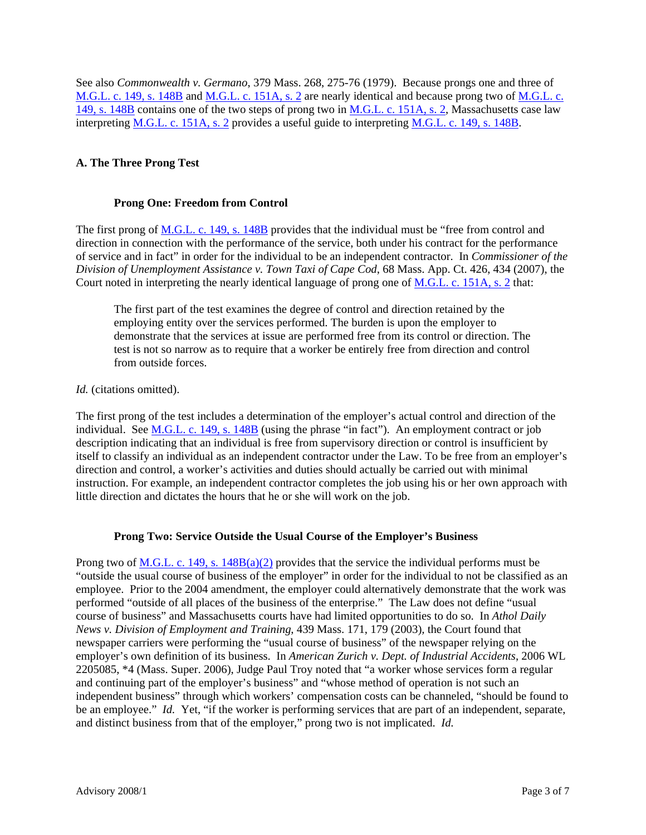See also *Commonwealth v. Germano*, 379 Mass. 268, 275-76 (1979). Because prongs one and three of M.G.L. c. 149, s. 148B and M.G.L. c. 151A, s. 2 are nearly identical and because prong two of M.G.L. c. 149, s. 148B contains one of the two steps of prong two in M.G.L. c. 151A, s. 2, Massachusetts case law interpreting M.G.L. c. 151A, s. 2 provides a useful guide to interpreting M.G.L. c. 149, s. 148B.

## **A. The Three Prong Test**

### **Prong One: Freedom from Control**

The first prong of <u>M.G.L. c. 149, s. 148B</u> provides that the individual must be "free from control and direction in connection with the performance of the service, both under his contract for the performance of service and in fact" in order for the individual to be an independent contractor. In *Commissioner of the Division of Unemployment Assistance v. Town Taxi of Cape Cod*, 68 Mass. App. Ct. 426, 434 (2007), the Court noted in interpreting the nearly identical language of prong one of M.G.L. c. 151A, s. 2 that:

The first part of the test examines the degree of control and direction retained by the employing entity over the services performed. The burden is upon the employer to demonstrate that the services at issue are performed free from its control or direction. The test is not so narrow as to require that a worker be entirely free from direction and control from outside forces.

### *Id.* (citations omitted).

The first prong of the test includes a determination of the employer's actual control and direction of the individual. See  $M.G.L. c. 149$ , s. 148B (using the phrase "in fact"). An employment contract or job description indicating that an individual is free from supervisory direction or control is insufficient by itself to classify an individual as an independent contractor under the Law. To be free from an employer's direction and control, a worker's activities and duties should actually be carried out with minimal instruction. For example, an independent contractor completes the job using his or her own approach with little direction and dictates the hours that he or she will work on the job.

### **Prong Two: Service Outside the Usual Course of the Employer's Business**

Prong two of M.G.L. c. 149, s. 148B(a)(2) provides that the service the individual performs must be "outside the usual course of business of the employer" in order for the individual to not be classified as an employee. Prior to the 2004 amendment, the employer could alternatively demonstrate that the work was performed "outside of all places of the business of the enterprise." The Law does not define "usual course of business" and Massachusetts courts have had limited opportunities to do so. In *Athol Daily News v. Division of Employment and Training*, 439 Mass. 171, 179 (2003)*,* the Court found that newspaper carriers were performing the "usual course of business" of the newspaper relying on the employer's own definition of its business. In *American Zurich v. Dept. of Industrial Accidents*, 2006 WL 2205085, \*4 (Mass. Super. 2006), Judge Paul Troy noted that "a worker whose services form a regular and continuing part of the employer's business" and "whose method of operation is not such an independent business" through which workers' compensation costs can be channeled, "should be found to be an employee." *Id.* Yet, "if the worker is performing services that are part of an independent, separate, and distinct business from that of the employer," prong two is not implicated. *Id.*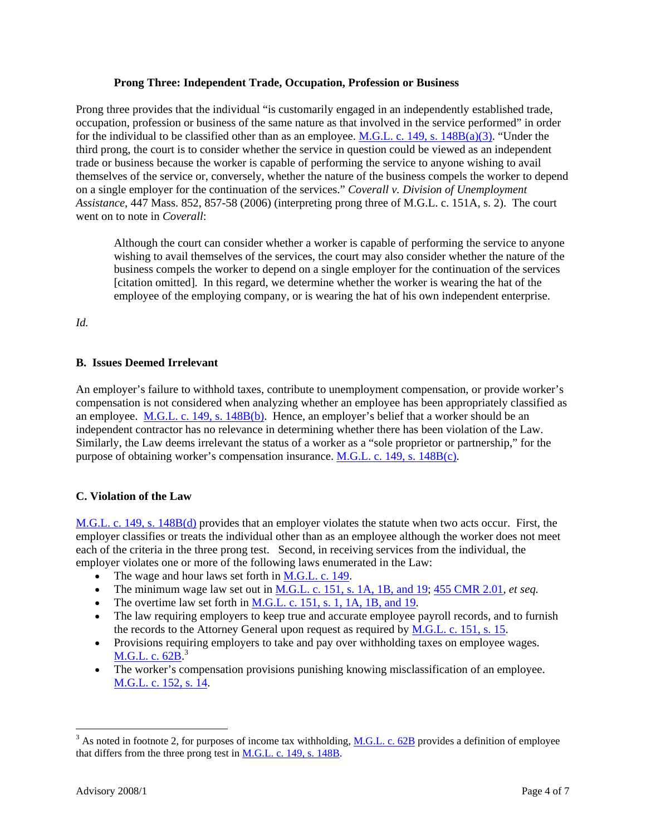#### **Prong Three: Independent Trade, Occupation, Profession or Business**

Prong three provides that the individual "is customarily engaged in an independently established trade, occupation, profession or business of the same nature as that involved in the service performed" in order for the individual to be classified other than as an employee. M.G.L. c. 149, s. 148B(a)(3). "Under the third prong, the court is to consider whether the service in question could be viewed as an independent trade or business because the worker is capable of performing the service to anyone wishing to avail themselves of the service or, conversely, whether the nature of the business compels the worker to depend on a single employer for the continuation of the services." *Coverall v. Division of Unemployment Assistance*, 447 Mass. 852, 857-58 (2006) (interpreting prong three of M.G.L. c. 151A, s. 2). The court went on to note in *Coverall*:

Although the court can consider whether a worker is capable of performing the service to anyone wishing to avail themselves of the services, the court may also consider whether the nature of the business compels the worker to depend on a single employer for the continuation of the services [citation omitted]. In this regard, we determine whether the worker is wearing the hat of the employee of the employing company, or is wearing the hat of his own independent enterprise.

*Id.* 

# **B. Issues Deemed Irrelevant**

An employer's failure to withhold taxes, contribute to unemployment compensation, or provide worker's compensation is not considered when analyzing whether an employee has been appropriately classified as an employee.  $M.G.L. c. 149$ , s.  $148B(b)$ . Hence, an employer's belief that a worker should be an independent contractor has no relevance in determining whether there has been violation of the Law. Similarly, the Law deems irrelevant the status of a worker as a "sole proprietor or partnership," for the purpose of obtaining worker's compensation insurance. M.G.L. c. 149, s. 148B(c).

# **C. Violation of the Law**

M.G.L. c. 149, s. 148B(d) provides that an employer violates the statute when two acts occur. First, the employer classifies or treats the individual other than as an employee although the worker does not meet each of the criteria in the three prong test. Second, in receiving services from the individual, the employer violates one or more of the following laws enumerated in the Law:

- The wage and hour laws set forth in M.G.L. c. 149.
- The minimum wage law set out in M.G.L. c. 151, s. 1A, 1B, and 19; 455 CMR 2.01, *et seq.*
- The overtime law set forth in  $M.G.L. c. 151$ , s. 1, 1A, 1B, and 19.
- The law requiring employers to keep true and accurate employee payroll records, and to furnish the records to the Attorney General upon request as required by M.G.L. c. 151, s. 15.
- Provisions requiring employers to take and pay over withholding taxes on employee wages. M.G.L. c. 62B.<sup>3</sup>
- The worker's compensation provisions punishing knowing misclassification of an employee. M.G.L. c. 152, s. 14.

 $\overline{a}$ 

 $3$  As noted in footnote 2, for purposes of income tax withholding, M.G.L. c. 62B provides a definition of employee that differs from the three prong test in **M.G.L. c. 149, s. 148B**.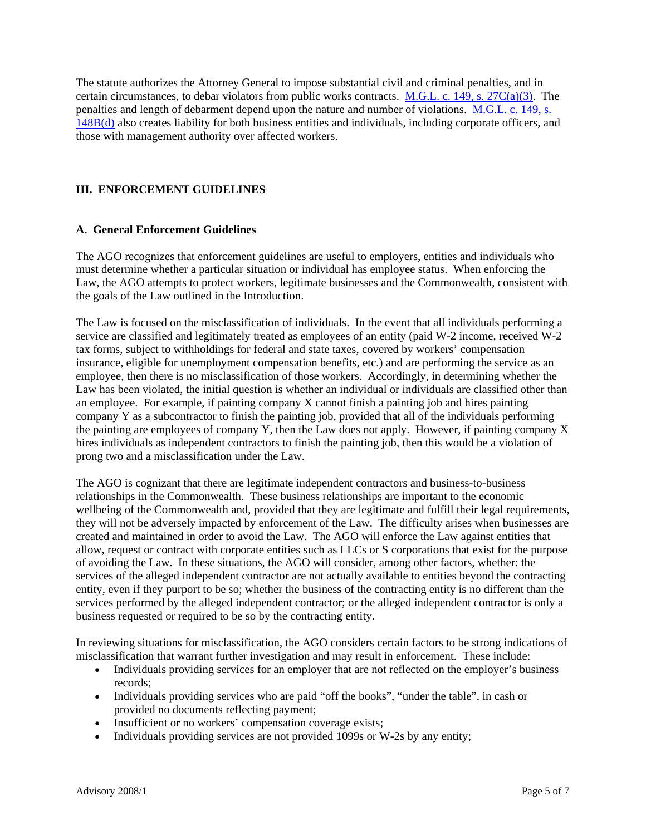The statute authorizes the Attorney General to impose substantial civil and criminal penalties, and in certain circumstances, to debar violators from public works contracts. M.G.L. c. 149, s. 27C(a)(3). The penalties and length of debarment depend upon the nature and number of violations. M.G.L. c. 149, s. 148B(d) also creates liability for both business entities and individuals, including corporate officers, and those with management authority over affected workers.

### **III. ENFORCEMENT GUIDELINES**

### **A. General Enforcement Guidelines**

The AGO recognizes that enforcement guidelines are useful to employers, entities and individuals who must determine whether a particular situation or individual has employee status. When enforcing the Law, the AGO attempts to protect workers, legitimate businesses and the Commonwealth, consistent with the goals of the Law outlined in the Introduction.

The Law is focused on the misclassification of individuals. In the event that all individuals performing a service are classified and legitimately treated as employees of an entity (paid W-2 income, received W-2 tax forms, subject to withholdings for federal and state taxes, covered by workers' compensation insurance, eligible for unemployment compensation benefits, etc.) and are performing the service as an employee, then there is no misclassification of those workers. Accordingly, in determining whether the Law has been violated, the initial question is whether an individual or individuals are classified other than an employee. For example, if painting company X cannot finish a painting job and hires painting company Y as a subcontractor to finish the painting job, provided that all of the individuals performing the painting are employees of company Y, then the Law does not apply. However, if painting company X hires individuals as independent contractors to finish the painting job, then this would be a violation of prong two and a misclassification under the Law.

The AGO is cognizant that there are legitimate independent contractors and business-to-business relationships in the Commonwealth. These business relationships are important to the economic wellbeing of the Commonwealth and, provided that they are legitimate and fulfill their legal requirements, they will not be adversely impacted by enforcement of the Law. The difficulty arises when businesses are created and maintained in order to avoid the Law. The AGO will enforce the Law against entities that allow, request or contract with corporate entities such as LLCs or S corporations that exist for the purpose of avoiding the Law. In these situations, the AGO will consider, among other factors, whether: the services of the alleged independent contractor are not actually available to entities beyond the contracting entity, even if they purport to be so; whether the business of the contracting entity is no different than the services performed by the alleged independent contractor; or the alleged independent contractor is only a business requested or required to be so by the contracting entity.

In reviewing situations for misclassification, the AGO considers certain factors to be strong indications of misclassification that warrant further investigation and may result in enforcement. These include:

- Individuals providing services for an employer that are not reflected on the employer's business records;
- Individuals providing services who are paid "off the books", "under the table", in cash or provided no documents reflecting payment;
- Insufficient or no workers' compensation coverage exists;
- Individuals providing services are not provided 1099s or W-2s by any entity;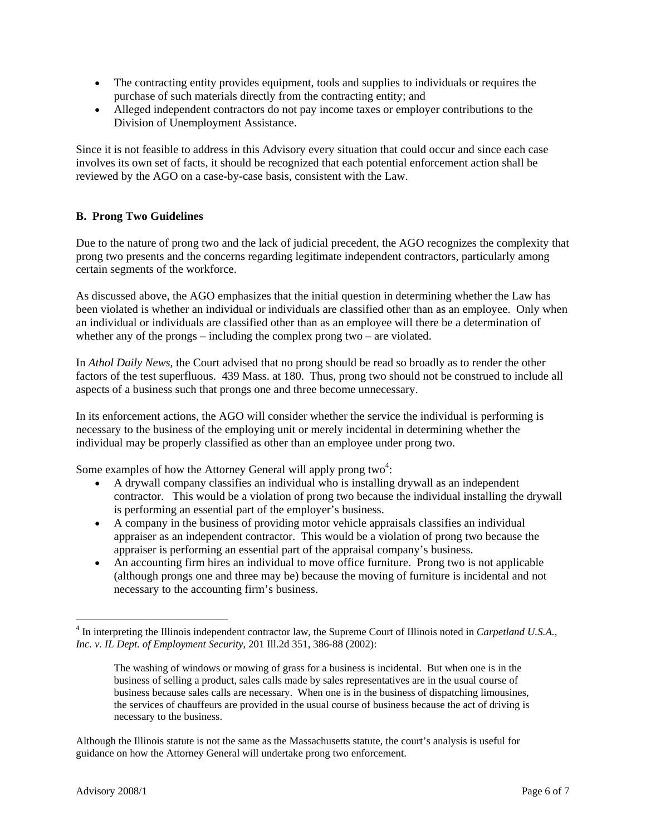- The contracting entity provides equipment, tools and supplies to individuals or requires the purchase of such materials directly from the contracting entity; and
- Alleged independent contractors do not pay income taxes or employer contributions to the Division of Unemployment Assistance.

Since it is not feasible to address in this Advisory every situation that could occur and since each case involves its own set of facts, it should be recognized that each potential enforcement action shall be reviewed by the AGO on a case-by-case basis, consistent with the Law.

## **B. Prong Two Guidelines**

Due to the nature of prong two and the lack of judicial precedent, the AGO recognizes the complexity that prong two presents and the concerns regarding legitimate independent contractors, particularly among certain segments of the workforce.

As discussed above, the AGO emphasizes that the initial question in determining whether the Law has been violated is whether an individual or individuals are classified other than as an employee. Only when an individual or individuals are classified other than as an employee will there be a determination of whether any of the prongs – including the complex prong two – are violated.

In *Athol Daily News*, the Court advised that no prong should be read so broadly as to render the other factors of the test superfluous. 439 Mass. at 180. Thus, prong two should not be construed to include all aspects of a business such that prongs one and three become unnecessary.

In its enforcement actions, the AGO will consider whether the service the individual is performing is necessary to the business of the employing unit or merely incidental in determining whether the individual may be properly classified as other than an employee under prong two.

Some examples of how the Attorney General will apply prong two<sup>4</sup>:

- A drywall company classifies an individual who is installing drywall as an independent contractor. This would be a violation of prong two because the individual installing the drywall is performing an essential part of the employer's business.
- A company in the business of providing motor vehicle appraisals classifies an individual appraiser as an independent contractor. This would be a violation of prong two because the appraiser is performing an essential part of the appraisal company's business.
- An accounting firm hires an individual to move office furniture. Prong two is not applicable (although prongs one and three may be) because the moving of furniture is incidental and not necessary to the accounting firm's business.

 $\overline{a}$ 

<sup>&</sup>lt;sup>4</sup> In interpreting the Illinois independent contractor law, the Supreme Court of Illinois noted in *Carpetland U.S.A.*, *Inc. v. IL Dept. of Employment Security*, 201 Ill.2d 351, 386-88 (2002):

The washing of windows or mowing of grass for a business is incidental. But when one is in the business of selling a product, sales calls made by sales representatives are in the usual course of business because sales calls are necessary. When one is in the business of dispatching limousines, the services of chauffeurs are provided in the usual course of business because the act of driving is necessary to the business.

Although the Illinois statute is not the same as the Massachusetts statute, the court's analysis is useful for guidance on how the Attorney General will undertake prong two enforcement.